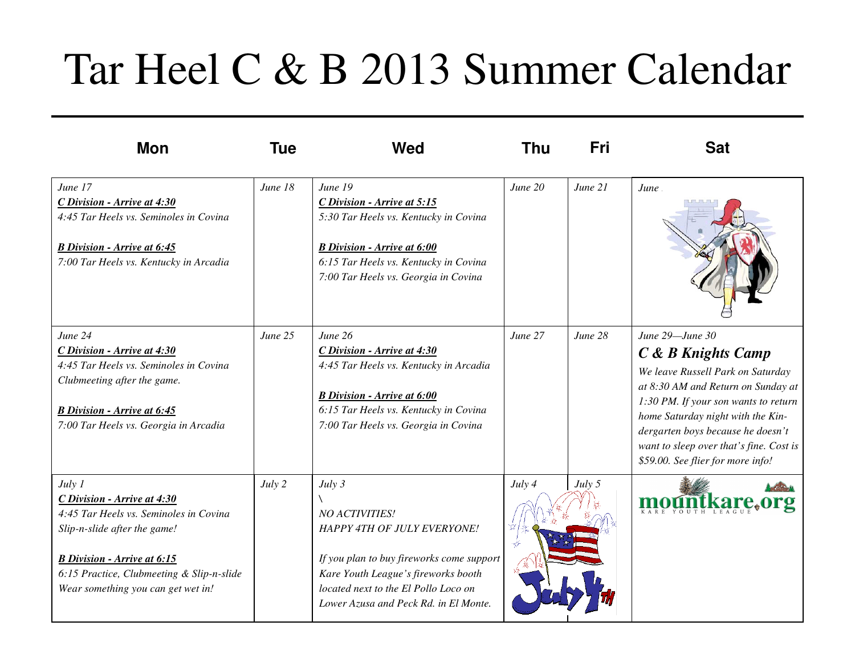## Tar Heel C & B 2013 Summer Calendar

| <b>Mon</b>                                                                                                                                                                                                                               | Tue     | Wed                                                                                                                                                                                                                                 | Thu     | Fri     | <b>Sat</b>                                                                                                                                                                                                                                                                                                         |
|------------------------------------------------------------------------------------------------------------------------------------------------------------------------------------------------------------------------------------------|---------|-------------------------------------------------------------------------------------------------------------------------------------------------------------------------------------------------------------------------------------|---------|---------|--------------------------------------------------------------------------------------------------------------------------------------------------------------------------------------------------------------------------------------------------------------------------------------------------------------------|
| June 17<br>C Division - Arrive at 4:30<br>4:45 Tar Heels vs. Seminoles in Covina<br><b>B</b> Division - Arrive at 6:45<br>7:00 Tar Heels vs. Kentucky in Arcadia                                                                         | June 18 | June 19<br>C Division - Arrive at 5:15<br>5:30 Tar Heels vs. Kentucky in Covina<br><b>B</b> Division - Arrive at 6:00<br>6:15 Tar Heels vs. Kentucky in Covina<br>7:00 Tar Heels vs. Georgia in Covina                              | June 20 | June 21 | June                                                                                                                                                                                                                                                                                                               |
| June 24<br>C Division - Arrive at 4:30<br>4:45 Tar Heels vs. Seminoles in Covina<br>Clubmeeting after the game.<br><b>B</b> Division - Arrive at 6:45<br>7:00 Tar Heels vs. Georgia in Arcadia                                           | June 25 | June 26<br>C Division - Arrive at 4:30<br>4:45 Tar Heels vs. Kentucky in Arcadia<br><b>B</b> Division - Arrive at 6:00<br>6:15 Tar Heels vs. Kentucky in Covina<br>7:00 Tar Heels vs. Georgia in Covina                             | June 27 | June 28 | June 29-June 30<br>C & B Knights Camp<br>We leave Russell Park on Saturday<br>at 8:30 AM and Return on Sunday at<br>1:30 PM. If your son wants to return<br>home Saturday night with the Kin-<br>dergarten boys because he doesn't<br>want to sleep over that's fine. Cost is<br>\$59.00. See flier for more info! |
| July 1<br>C Division - Arrive at 4:30<br>4:45 Tar Heels vs. Seminoles in Covina<br>Slip-n-slide after the game!<br><b>B</b> Division - Arrive at 6:15<br>6:15 Practice, Clubmeeting & Slip-n-slide<br>Wear something you can get wet in! | July 2  | July 3<br><b>NO ACTIVITIES!</b><br>HAPPY 4TH OF JULY EVERYONE!<br>If you plan to buy fireworks come support<br>Kare Youth League's fireworks booth<br>located next to the El Pollo Loco on<br>Lower Azusa and Peck Rd. in El Monte. | July 4  | July 5  |                                                                                                                                                                                                                                                                                                                    |